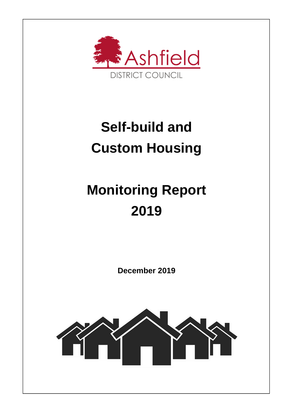

## **Self-build and Custom Housing**

# **Monitoring Report 2019**

**December 2019** 

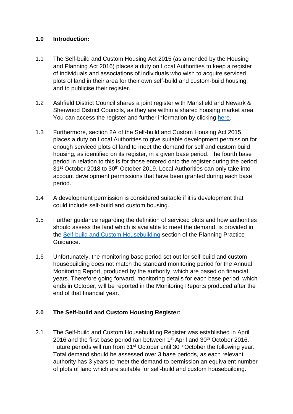#### **1.0 Introduction:**

- 1.1 The Self-build and Custom Housing Act 2015 (as amended by the Housing and Planning Act 2016) places a duty on Local Authorities to keep a register of individuals and associations of individuals who wish to acquire serviced plots of land in their area for their own self-build and custom-build housing, and to publicise their register.
- 1.2 Ashfield District Council shares a joint register with Mansfield and Newark & Sherwood District Councils, as they are within a shared housing market area. You can access the register and further information by clicking here.
- 1.3 Furthermore, section 2A of the Self-build and Custom Housing Act 2015, places a duty on Local Authorities to give suitable development permission for enough serviced plots of land to meet the demand for self and custom build housing, as identified on its register, in a given base period. The fourth base period in relation to this is for those entered onto the register during the period 31<sup>st</sup> October 2018 to 30<sup>th</sup> October 2019. Local Authorities can only take into account development permissions that have been granted during each base period.
- 1.4 A development permission is considered suitable if it is development that could include self-build and custom housing.
- 1.5 Further guidance regarding the definition of serviced plots and how authorities should assess the land which is available to meet the demand, is provided in the Self-build and Custom Housebuilding section of the Planning Practice Guidance.
- 1.6 Unfortunately, the monitoring base period set out for self-build and custom housebuilding does not match the standard monitoring period for the Annual Monitoring Report, produced by the authority, which are based on financial years. Therefore going forward, monitoring details for each base period, which ends in October, will be reported in the Monitoring Reports produced after the end of that financial year.

### **2.0 The Self-build and Custom Housing Register:**

2.1 The Self-build and Custom Housebuilding Register was established in April 2016 and the first base period ran between 1<sup>st</sup> April and 30<sup>th</sup> October 2016. Future periods will run from 31<sup>st</sup> October until 30<sup>th</sup> October the following year. Total demand should be assessed over 3 base periods, as each relevant authority has 3 years to meet the demand to permission an equivalent number of plots of land which are suitable for self-build and custom housebuilding.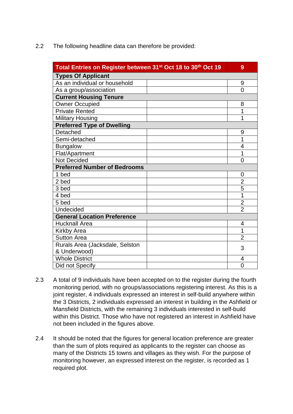2.2 The following headline data can therefore be provided:

| Total Entries on Register between 31 <sup>st</sup> Oct 18 to 30 <sup>th</sup> Oct 19 | 9              |  |  |  |
|--------------------------------------------------------------------------------------|----------------|--|--|--|
| <b>Types Of Applicant</b>                                                            |                |  |  |  |
| As an individual or household                                                        | 9              |  |  |  |
| As a group/association                                                               | $\overline{0}$ |  |  |  |
| <b>Current Housing Tenure</b>                                                        |                |  |  |  |
| <b>Owner Occupied</b>                                                                | 8              |  |  |  |
| <b>Private Rented</b>                                                                | 1              |  |  |  |
| <b>Military Housing</b>                                                              | 1              |  |  |  |
| <b>Preferred Type of Dwelling</b>                                                    |                |  |  |  |
| Detached                                                                             | 9              |  |  |  |
| Semi-detached                                                                        | 1              |  |  |  |
| <b>Bungalow</b>                                                                      | 4              |  |  |  |
| Flat/Apartment                                                                       | 1              |  |  |  |
| Not Decided                                                                          | $\Omega$       |  |  |  |
| <b>Preferred Number of Bedrooms</b>                                                  |                |  |  |  |
| 1 bed                                                                                | $\overline{0}$ |  |  |  |
| 2 bed                                                                                | $\overline{2}$ |  |  |  |
| 3 bed                                                                                | 5              |  |  |  |
| 4 bed                                                                                | 1              |  |  |  |
| 5 bed                                                                                | $\overline{2}$ |  |  |  |
| Undecided                                                                            | $\overline{2}$ |  |  |  |
| <b>General Location Preference</b>                                                   |                |  |  |  |
| <b>Hucknall Area</b>                                                                 | 4              |  |  |  |
| <b>Kirkby Area</b>                                                                   | 1              |  |  |  |
| <b>Sutton Area</b>                                                                   | $\overline{2}$ |  |  |  |
| Rurals Area (Jacksdale, Selston                                                      | 3              |  |  |  |
| & Underwood)                                                                         |                |  |  |  |
| <b>Whole District</b>                                                                | 4              |  |  |  |
| Did not Specify                                                                      | $\overline{0}$ |  |  |  |

- 2.3 A total of 9 individuals have been accepted on to the register during the fourth monitoring period, with no groups/associations registering interest. As this is a joint register, 4 individuals expressed an interest in self-build anywhere within the 3 Districts, 2 individuals expressed an interest in building in the Ashfield or Mansfield Districts, with the remaining 3 individuals interested in self-build within this District. Those who have not registered an interest in Ashfield have not been included in the figures above.
- 2.4 It should be noted that the figures for general location preference are greater than the sum of plots required as applicants to the register can choose as many of the Districts 15 towns and villages as they wish. For the purpose of monitoring however, an expressed interest on the register, is recorded as 1 required plot.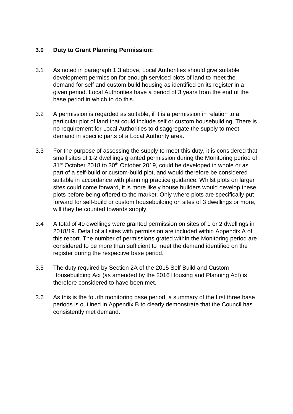#### **3.0 Duty to Grant Planning Permission:**

- 3.1 As noted in paragraph 1.3 above, Local Authorities should give suitable development permission for enough serviced plots of land to meet the demand for self and custom build housing as identified on its register in a given period. Local Authorities have a period of 3 years from the end of the base period in which to do this.
- 3.2 A permission is regarded as suitable, if it is a permission in relation to a particular plot of land that could include self or custom housebuilding. There is no requirement for Local Authorities to disaggregate the supply to meet demand in specific parts of a Local Authority area.
- 3.3 For the purpose of assessing the supply to meet this duty, it is considered that small sites of 1-2 dwellings granted permission during the Monitoring period of 31<sup>st</sup> October 2018 to 30<sup>th</sup> October 2019, could be developed in whole or as part of a self-build or custom-build plot, and would therefore be considered suitable in accordance with planning practice guidance. Whilst plots on larger sites could come forward, it is more likely house builders would develop these plots before being offered to the market. Only where plots are specifically put forward for self-build or custom housebuilding on sites of 3 dwellings or more, will they be counted towards supply.
- 3.4 A total of 49 dwellings were granted permission on sites of 1 or 2 dwellings in 2018/19. Detail of all sites with permission are included within Appendix A of this report. The number of permissions grated within the Monitoring period are considered to be more than sufficient to meet the demand identified on the register during the respective base period.
- 3.5 The duty required by Section 2A of the 2015 Self Build and Custom Housebuilding Act (as amended by the 2016 Housing and Planning Act) is therefore considered to have been met.
- 3.6 As this is the fourth monitoring base period, a summary of the first three base periods is outlined in Appendix B to clearly demonstrate that the Council has consistently met demand.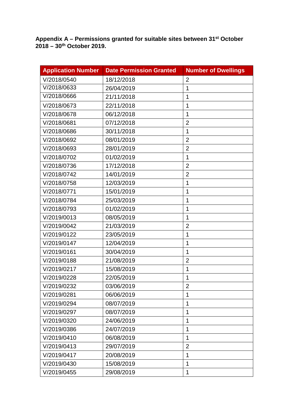**Appendix A – Permissions granted for suitable sites between 31st October 2018 – 30th October 2019.** 

| <b>Application Number</b> | <b>Date Permission Granted</b> | <b>Number of Dwellings</b> |
|---------------------------|--------------------------------|----------------------------|
| V/2018/0540               | 18/12/2018                     | $\overline{2}$             |
| V/2018/0633               | 26/04/2019                     | 1                          |
| V/2018/0666               | 21/11/2018                     | 1                          |
| V/2018/0673               | 22/11/2018                     | 1                          |
| V/2018/0678               | 06/12/2018                     | 1                          |
| V/2018/0681               | 07/12/2018                     | $\overline{2}$             |
| V/2018/0686               | 30/11/2018                     | 1                          |
| V/2018/0692               | 08/01/2019                     | $\overline{2}$             |
| V/2018/0693               | 28/01/2019                     | $\overline{2}$             |
| V/2018/0702               | 01/02/2019                     | 1                          |
| V/2018/0736               | 17/12/2018                     | $\overline{2}$             |
| V/2018/0742               | 14/01/2019                     | $\overline{2}$             |
| V/2018/0758               | 12/03/2019                     | 1                          |
| V/2018/0771               | 15/01/2019                     | 1                          |
| V/2018/0784               | 25/03/2019                     | 1                          |
| V/2018/0793               | 01/02/2019                     | 1                          |
| V/2019/0013               | 08/05/2019                     | 1                          |
| V/2019/0042               | 21/03/2019                     | $\overline{2}$             |
| V/2019/0122               | 23/05/2019                     | 1                          |
| V/2019/0147               | 12/04/2019                     | 1                          |
| V/2019/0161               | 30/04/2019                     | 1                          |
| V/2019/0188               | 21/08/2019                     | $\overline{2}$             |
| V/2019/0217               | 15/08/2019                     | 1                          |
| V/2019/0228               | 22/05/2019                     | $\overline{1}$             |
| V/2019/0232               | 03/06/2019                     | $\overline{2}$             |
| V/2019/0281               | 06/06/2019                     | 1                          |
| V/2019/0294               | 08/07/2019                     | 1                          |
| V/2019/0297               | 08/07/2019                     | 1                          |
| V/2019/0320               | 24/06/2019                     | 1                          |
| V/2019/0386               | 24/07/2019                     | 1                          |
| V/2019/0410               | 06/08/2019                     | 1                          |
| V/2019/0413               | 29/07/2019                     | $\overline{2}$             |
| V/2019/0417               | 20/08/2019                     | 1                          |
| V/2019/0430               | 15/08/2019                     | 1                          |
| V/2019/0455               | 29/08/2019                     | 1                          |